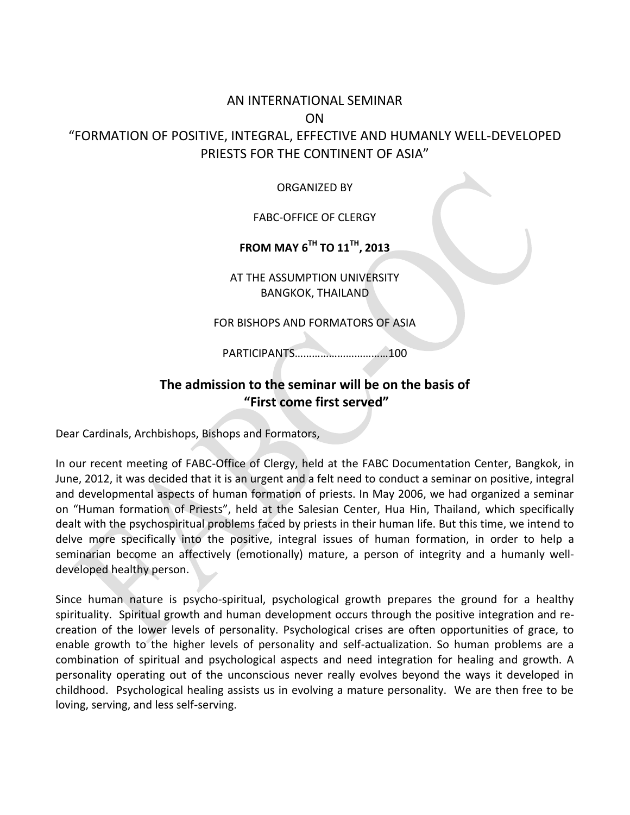# AN INTERNATIONAL SEMINAR ON "FORMATION OF POSITIVE, INTEGRAL, EFFECTIVE AND HUMANLY WELL-DEVELOPED PRIESTS FOR THE CONTINENT OF ASIA"

#### ORGANIZED BY

#### FABC-OFFICE OF CLERGY

## **FROM MAY 6 TH TO 11 TH, 2013**

AT THE ASSUMPTION UNIVERSITY BANGKOK, THAILAND

#### FOR BISHOPS AND FORMATORS OF ASIA

PARTICIPANTS……………………………100

# **The admission to the seminar will be on the basis of "First come first served"**

Dear Cardinals, Archbishops, Bishops and Formators,

In our recent meeting of FABC-Office of Clergy, held at the FABC Documentation Center, Bangkok, in June, 2012, it was decided that it is an urgent and a felt need to conduct a seminar on positive, integral and developmental aspects of human formation of priests. In May 2006, we had organized a seminar on "Human formation of Priests", held at the Salesian Center, Hua Hin, Thailand, which specifically dealt with the psychospiritual problems faced by priests in their human life. But this time, we intend to delve more specifically into the positive, integral issues of human formation, in order to help a seminarian become an affectively (emotionally) mature, a person of integrity and a humanly welldeveloped healthy person.

Since human nature is psycho-spiritual, psychological growth prepares the ground for a healthy spirituality. Spiritual growth and human development occurs through the positive integration and recreation of the lower levels of personality. Psychological crises are often opportunities of grace, to enable growth to the higher levels of personality and self-actualization. So human problems are a combination of spiritual and psychological aspects and need integration for healing and growth. A personality operating out of the unconscious never really evolves beyond the ways it developed in childhood. Psychological healing assists us in evolving a mature personality. We are then free to be loving, serving, and less self-serving.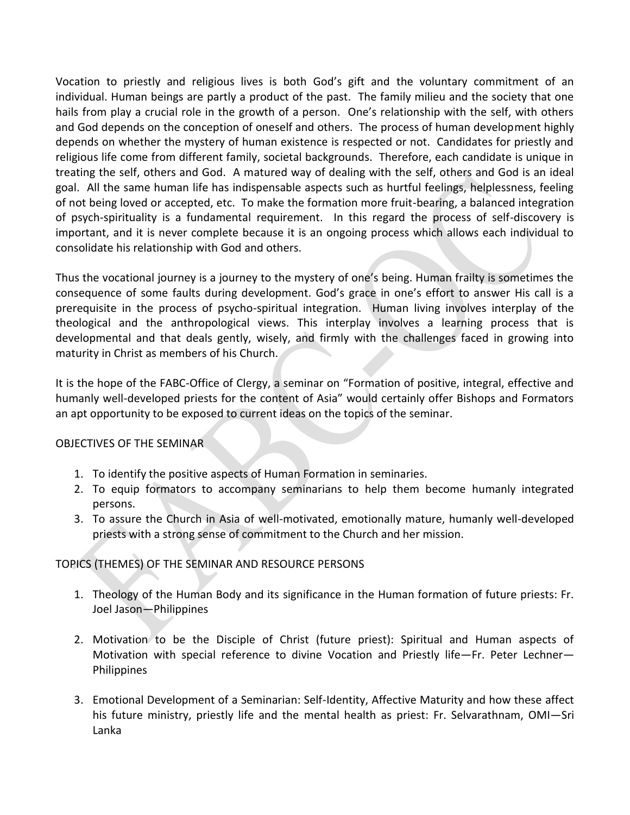Vocation to priestly and religious lives is both God's gift and the voluntary commitment of an individual. Human beings are partly a product of the past. The family milieu and the society that one hails from play a crucial role in the growth of a person. One's relationship with the self, with others and God depends on the conception of oneself and others. The process of human development highly depends on whether the mystery of human existence is respected or not. Candidates for priestly and religious life come from different family, societal backgrounds. Therefore, each candidate is unique in treating the self, others and God. A matured way of dealing with the self, others and God is an ideal goal. All the same human life has indispensable aspects such as hurtful feelings, helplessness, feeling of not being loved or accepted, etc. To make the formation more fruit-bearing, a balanced integration of psych-spirituality is a fundamental requirement. In this regard the process of self-discovery is important, and it is never complete because it is an ongoing process which allows each individual to consolidate his relationship with God and others.

Thus the vocational journey is a journey to the mystery of one's being. Human frailty is sometimes the consequence of some faults during development. God's grace in one's effort to answer His call is a prerequisite in the process of psycho-spiritual integration. Human living involves interplay of the theological and the anthropological views. This interplay involves a learning process that is developmental and that deals gently, wisely, and firmly with the challenges faced in growing into maturity in Christ as members of his Church.

It is the hope of the FABC-Office of Clergy, a seminar on "Formation of positive, integral, effective and humanly well-developed priests for the content of Asia" would certainly offer Bishops and Formators an apt opportunity to be exposed to current ideas on the topics of the seminar.

### OBJECTIVES OF THE SEMINAR

- 1. To identify the positive aspects of Human Formation in seminaries.
- 2. To equip formators to accompany seminarians to help them become humanly integrated persons.
- 3. To assure the Church in Asia of well-motivated, emotionally mature, humanly well-developed priests with a strong sense of commitment to the Church and her mission.

## TOPICS (THEMES) OF THE SEMINAR AND RESOURCE PERSONS

- 1. Theology of the Human Body and its significance in the Human formation of future priests: Fr. Joel Jason—Philippines
- 2. Motivation to be the Disciple of Christ (future priest): Spiritual and Human aspects of Motivation with special reference to divine Vocation and Priestly life—Fr. Peter Lechner— Philippines
- 3. Emotional Development of a Seminarian: Self-Identity, Affective Maturity and how these affect his future ministry, priestly life and the mental health as priest: Fr. Selvarathnam, OMI—Sri Lanka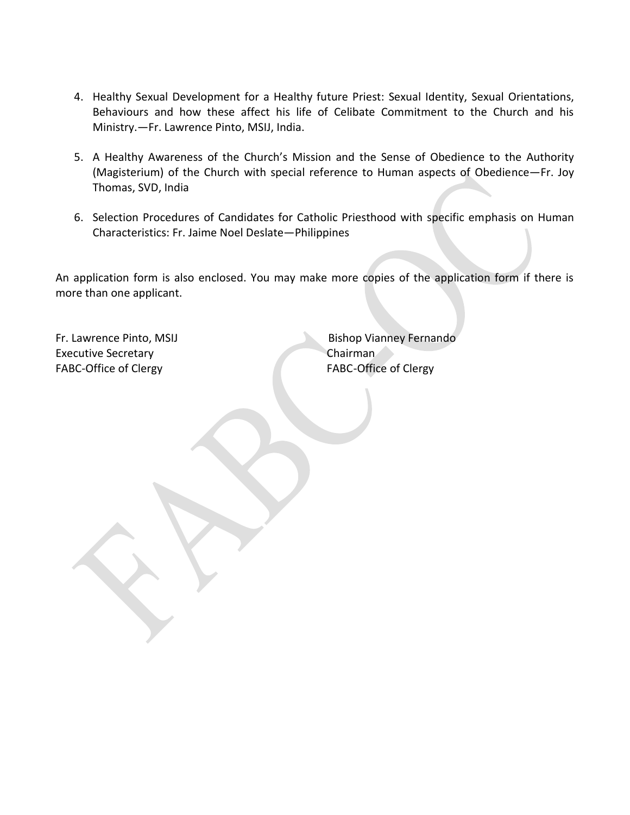- 4. Healthy Sexual Development for a Healthy future Priest: Sexual Identity, Sexual Orientations, Behaviours and how these affect his life of Celibate Commitment to the Church and his Ministry.—Fr. Lawrence Pinto, MSIJ, India.
- 5. A Healthy Awareness of the Church's Mission and the Sense of Obedience to the Authority (Magisterium) of the Church with special reference to Human aspects of Obedience—Fr. Joy Thomas, SVD, India
- 6. Selection Procedures of Candidates for Catholic Priesthood with specific emphasis on Human Characteristics: Fr. Jaime Noel Deslate—Philippines

An application form is also enclosed. You may make more copies of the application form if there is more than one applicant.

Executive Secretary Chairman FABC-Office of Clergy **FABC-Office of Clergy** 

Fr. Lawrence Pinto, MSIJ Bishop Vianney Fernando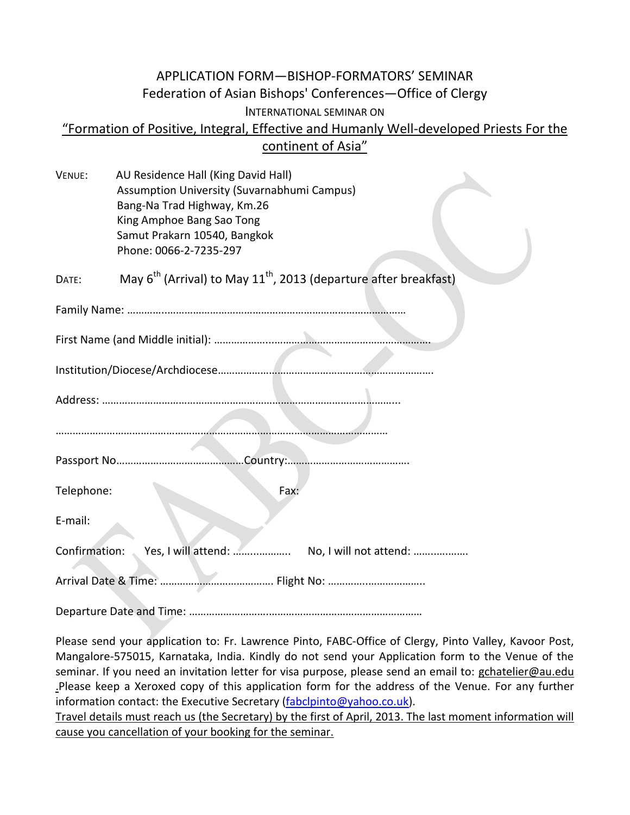# APPLICATION FORM—BISHOP-FORMATORS' SEMINAR Federation of Asian Bishops' Conferences—Office of Clergy INTERNATIONAL SEMINAR ON "Formation of Positive, Integral, Effective and Humanly Well-developed Priests For the continent of Asia"

| VENUE: | AU Residence Hall (King David Hall)                                                      |
|--------|------------------------------------------------------------------------------------------|
|        | Assumption University (Suvarnabhumi Campus)                                              |
|        | Bang-Na Trad Highway, Km.26                                                              |
|        | King Amphoe Bang Sao Tong                                                                |
|        | Samut Prakarn 10540, Bangkok                                                             |
|        | Phone: 0066-2-7235-297                                                                   |
| DATE:  | May 6 <sup>th</sup> (Arrival) to May 11 <sup>th</sup> , 2013 (departure after breakfast) |
|        |                                                                                          |
|        |                                                                                          |
|        |                                                                                          |
|        |                                                                                          |
|        |                                                                                          |
|        |                                                                                          |

Passport No………………………………………Country:…………………………………….

Telephone: Fax:

E-mail:

Confirmation: Yes, I will attend: ……...……….. No, I will not attend: ……..….…….

Arrival Date & Time: …………………………………. Flight No: …………..………………..

Departure Date and Time: ……………………….………………………………………………

Please send your application to: Fr. Lawrence Pinto, FABC-Office of Clergy, Pinto Valley, Kavoor Post, Mangalore-575015, Karnataka, India. Kindly do not send your Application form to the Venue of the seminar. If you need an invitation letter for visa purpose, please send an email to: gchatelier@au.edu .Please keep a Xeroxed copy of this application form for the address of the Venue. For any further information contact: the Executive Secretary [\(fabclpinto@yahoo.co.uk\)](mailto:fabclpinto@yahoo.co.uk).

Travel details must reach us (the Secretary) by the first of April, 2013. The last moment information will cause you cancellation of your booking for the seminar.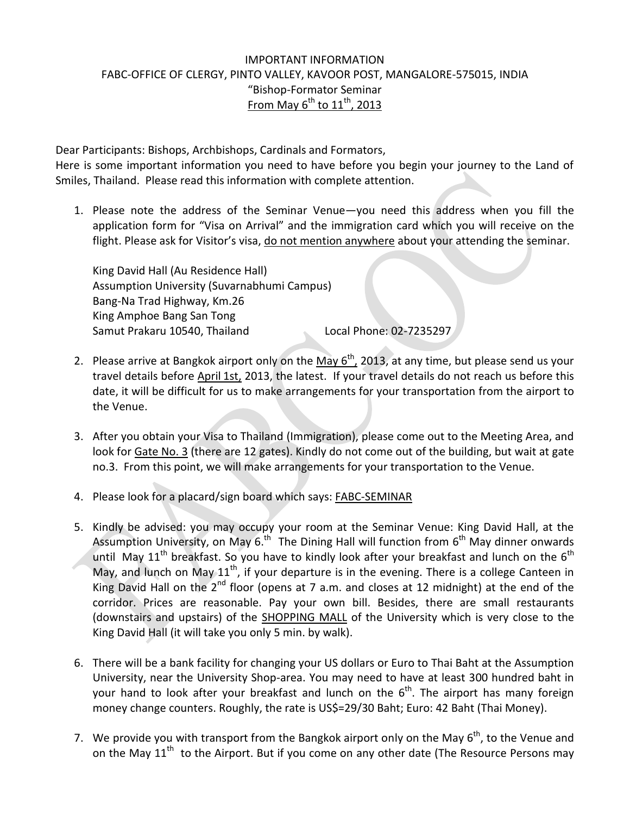### IMPORTANT INFORMATION FABC-OFFICE OF CLERGY, PINTO VALLEY, KAVOOR POST, MANGALORE-575015, INDIA "Bishop-Formator Seminar <u>From May 6<sup>th</sup> to 11<sup>th</sup>, 2013</u>

Dear Participants: Bishops, Archbishops, Cardinals and Formators,

Here is some important information you need to have before you begin your journey to the Land of Smiles, Thailand. Please read this information with complete attention.

1. Please note the address of the Seminar Venue—you need this address when you fill the application form for "Visa on Arrival" and the immigration card which you will receive on the flight. Please ask for Visitor's visa, do not mention anywhere about your attending the seminar.

King David Hall (Au Residence Hall) Assumption University (Suvarnabhumi Campus) Bang-Na Trad Highway, Km.26 King Amphoe Bang San Tong Samut Prakaru 10540, Thailand Local Phone: 02-7235297

- 2. Please arrive at Bangkok airport only on the  $M$ ay  $6^{th}$ , 2013, at any time, but please send us your travel details before April 1st, 2013, the latest. If your travel details do not reach us before this date, it will be difficult for us to make arrangements for your transportation from the airport to the Venue.
- 3. After you obtain your Visa to Thailand (Immigration), please come out to the Meeting Area, and look for Gate No. 3 (there are 12 gates). Kindly do not come out of the building, but wait at gate no.3. From this point, we will make arrangements for your transportation to the Venue.
- 4. Please look for a placard/sign board which says: FABC-SEMINAR
- 5. Kindly be advised: you may occupy your room at the Seminar Venue: King David Hall, at the Assumption University, on May 6.<sup>th</sup> The Dining Hall will function from 6<sup>th</sup> May dinner onwards until May 11<sup>th</sup> breakfast. So you have to kindly look after your breakfast and lunch on the 6<sup>th</sup> May, and lunch on May  $11^{th}$ , if your departure is in the evening. There is a college Canteen in King David Hall on the  $2^{nd}$  floor (opens at 7 a.m. and closes at 12 midnight) at the end of the corridor. Prices are reasonable. Pay your own bill. Besides, there are small restaurants (downstairs and upstairs) of the SHOPPING MALL of the University which is very close to the King David Hall (it will take you only 5 min. by walk).
- 6. There will be a bank facility for changing your US dollars or Euro to Thai Baht at the Assumption University, near the University Shop-area. You may need to have at least 300 hundred baht in your hand to look after your breakfast and lunch on the 6<sup>th</sup>. The airport has many foreign money change counters. Roughly, the rate is US\$=29/30 Baht; Euro: 42 Baht (Thai Money).
- 7. We provide you with transport from the Bangkok airport only on the May  $6<sup>th</sup>$ , to the Venue and on the May  $11<sup>th</sup>$  to the Airport. But if you come on any other date (The Resource Persons may